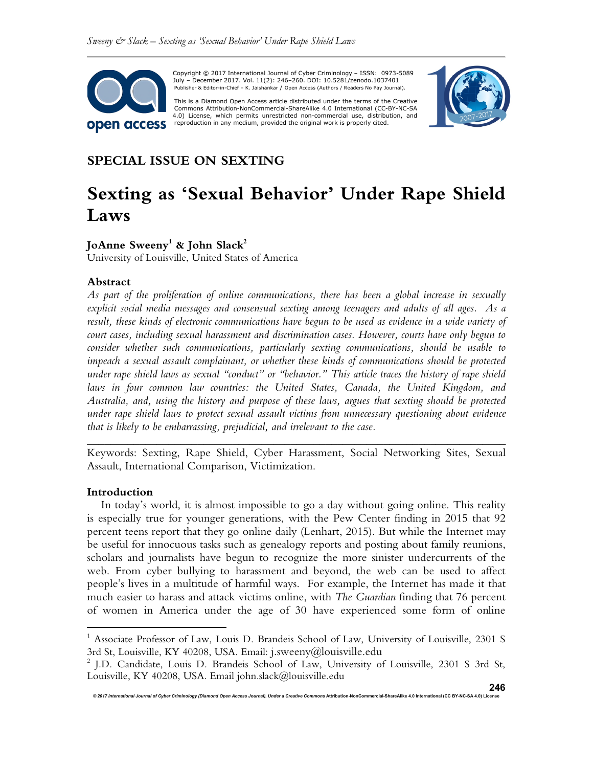

 Copyright © 2017 International Journal of Cyber Criminology – ISSN: 0973-5089 July – December 2017. Vol. 11(2): 246–260. DOI: 10.5281/zenodo.1037401 Publisher & Editor-in-Chief – K. Jaishankar / Open Access (Authors / Readers No Pay Journal).

This is a Diamond Open Access article distributed under the terms of the Creative Commons Attribution-NonCommercial-ShareAlike 4.0 International (CC-BY-NC-SA<br>4.0) License, which permits unrestricted non-commercial use, distribution, and reproduction in any medium, provided the original work is properly cited.



## **SPECIAL ISSUE ON SEXTING**

# **Sexting as 'Sexual Behavior' Under Rape Shield Laws**

## **JoAnne Sweeny<sup>1</sup> & John Slack<sup>2</sup>**

University of Louisville, United States of America

#### **Abstract**

*As part of the proliferation of online communications, there has been a global increase in sexually explicit social media messages and consensual sexting among teenagers and adults of all ages. As a result, these kinds of electronic communications have begun to be used as evidence in a wide variety of court cases, including sexual harassment and discrimination cases. However, courts have only begun to consider whether such communications, particularly sexting communications, should be usable to impeach a sexual assault complainant, or whether these kinds of communications should be protected under rape shield laws as sexual "conduct" or "behavior." This article traces the history of rape shield*  laws in four common law countries: the United States, Canada, the United Kingdom, and *Australia, and, using the history and purpose of these laws, argues that sexting should be protected under rape shield laws to protect sexual assault victims from unnecessary questioning about evidence that is likely to be embarrassing, prejudicial, and irrelevant to the case.*

Keywords: Sexting, Rape Shield, Cyber Harassment, Social Networking Sites, Sexual Assault, International Comparison, Victimization.

*\_\_\_\_\_\_\_\_\_\_\_\_\_\_\_\_\_\_\_\_\_\_\_\_\_\_\_\_\_\_\_\_\_\_\_\_\_\_\_\_\_\_\_\_\_\_\_\_\_\_\_\_\_\_\_\_\_\_\_\_\_\_\_\_\_\_\_\_\_\_\_\_* 

#### **Introduction**

 $\overline{a}$ 

In today's world, it is almost impossible to go a day without going online. This reality is especially true for younger generations, with the Pew Center finding in 2015 that 92 percent teens report that they go online daily (Lenhart, 2015). But while the Internet may be useful for innocuous tasks such as genealogy reports and posting about family reunions, scholars and journalists have begun to recognize the more sinister undercurrents of the web. From cyber bullying to harassment and beyond, the web can be used to affect people's lives in a multitude of harmful ways. For example, the Internet has made it that much easier to harass and attack victims online, with *The Guardian* finding that 76 percent of women in America under the age of 30 have experienced some form of online

<sup>&</sup>lt;sup>1</sup> Associate Professor of Law, Louis D. Brandeis School of Law, University of Louisville, 2301 S 3rd St, Louisville, KY 40208, USA. Email: j.sweeny@louisville.edu

<sup>&</sup>lt;sup>2</sup> J.D. Candidate, Louis D. Brandeis School of Law, University of Louisville, 2301 S 3rd St, Louisville, KY 40208, USA. Email john.slack@louisville.edu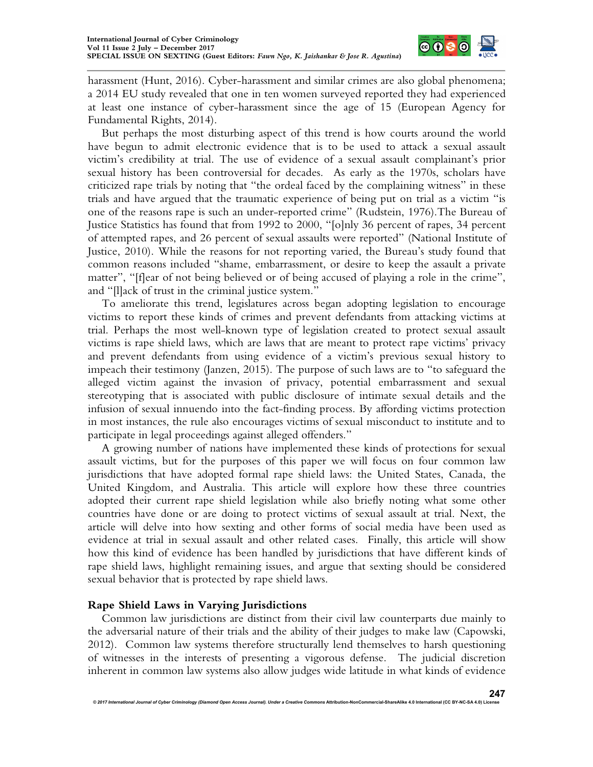

harassment (Hunt, 2016). Cyber-harassment and similar crimes are also global phenomena; a 2014 EU study revealed that one in ten women surveyed reported they had experienced at least one instance of cyber-harassment since the age of 15 (European Agency for Fundamental Rights, 2014).

But perhaps the most disturbing aspect of this trend is how courts around the world have begun to admit electronic evidence that is to be used to attack a sexual assault victim's credibility at trial. The use of evidence of a sexual assault complainant's prior sexual history has been controversial for decades. As early as the 1970s, scholars have criticized rape trials by noting that "the ordeal faced by the complaining witness" in these trials and have argued that the traumatic experience of being put on trial as a victim "is one of the reasons rape is such an under-reported crime" (Rudstein, 1976).The Bureau of Justice Statistics has found that from 1992 to 2000, "[o]nly 36 percent of rapes, 34 percent of attempted rapes, and 26 percent of sexual assaults were reported" (National Institute of Justice, 2010). While the reasons for not reporting varied, the Bureau's study found that common reasons included "shame, embarrassment, or desire to keep the assault a private matter", "[f]ear of not being believed or of being accused of playing a role in the crime", and "[l]ack of trust in the criminal justice system."

To ameliorate this trend, legislatures across began adopting legislation to encourage victims to report these kinds of crimes and prevent defendants from attacking victims at trial. Perhaps the most well-known type of legislation created to protect sexual assault victims is rape shield laws, which are laws that are meant to protect rape victims' privacy and prevent defendants from using evidence of a victim's previous sexual history to impeach their testimony (Janzen, 2015). The purpose of such laws are to "to safeguard the alleged victim against the invasion of privacy, potential embarrassment and sexual stereotyping that is associated with public disclosure of intimate sexual details and the infusion of sexual innuendo into the fact-finding process. By affording victims protection in most instances, the rule also encourages victims of sexual misconduct to institute and to participate in legal proceedings against alleged offenders."

A growing number of nations have implemented these kinds of protections for sexual assault victims, but for the purposes of this paper we will focus on four common law jurisdictions that have adopted formal rape shield laws: the United States, Canada, the United Kingdom, and Australia. This article will explore how these three countries adopted their current rape shield legislation while also briefly noting what some other countries have done or are doing to protect victims of sexual assault at trial. Next, the article will delve into how sexting and other forms of social media have been used as evidence at trial in sexual assault and other related cases. Finally, this article will show how this kind of evidence has been handled by jurisdictions that have different kinds of rape shield laws, highlight remaining issues, and argue that sexting should be considered sexual behavior that is protected by rape shield laws.

## **Rape Shield Laws in Varying Jurisdictions**

Common law jurisdictions are distinct from their civil law counterparts due mainly to the adversarial nature of their trials and the ability of their judges to make law (Capowski, 2012). Common law systems therefore structurally lend themselves to harsh questioning of witnesses in the interests of presenting a vigorous defense. The judicial discretion inherent in common law systems also allow judges wide latitude in what kinds of evidence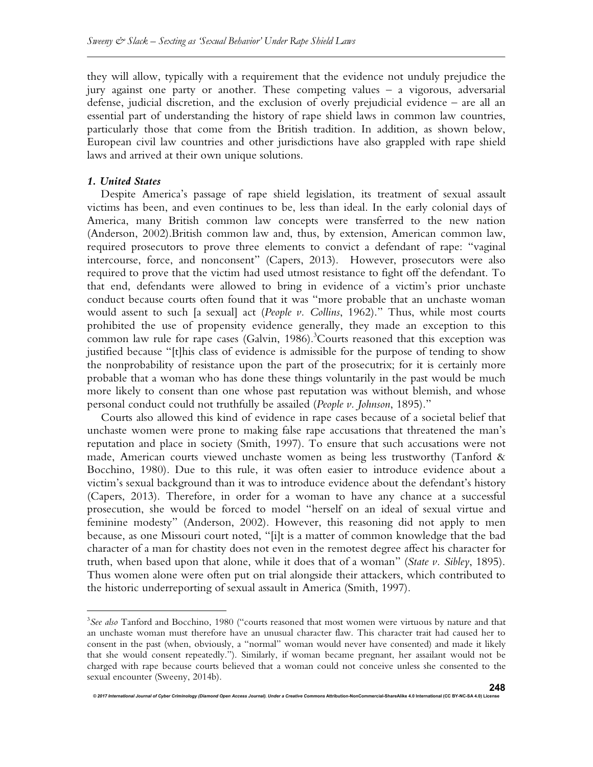they will allow, typically with a requirement that the evidence not unduly prejudice the jury against one party or another. These competing values – a vigorous, adversarial defense, judicial discretion, and the exclusion of overly prejudicial evidence – are all an essential part of understanding the history of rape shield laws in common law countries, particularly those that come from the British tradition. In addition, as shown below, European civil law countries and other jurisdictions have also grappled with rape shield laws and arrived at their own unique solutions.

### *1. United States*

 $\overline{a}$ 

Despite America's passage of rape shield legislation, its treatment of sexual assault victims has been, and even continues to be, less than ideal. In the early colonial days of America, many British common law concepts were transferred to the new nation (Anderson, 2002).British common law and, thus, by extension, American common law, required prosecutors to prove three elements to convict a defendant of rape: "vaginal intercourse, force, and nonconsent" (Capers, 2013). However, prosecutors were also required to prove that the victim had used utmost resistance to fight off the defendant. To that end, defendants were allowed to bring in evidence of a victim's prior unchaste conduct because courts often found that it was "more probable that an unchaste woman would assent to such [a sexual] act (*People v. Collins*, 1962)." Thus, while most courts prohibited the use of propensity evidence generally, they made an exception to this common law rule for rape cases (Galvin, 1986).<sup>3</sup>Courts reasoned that this exception was justified because "[t]his class of evidence is admissible for the purpose of tending to show the nonprobability of resistance upon the part of the prosecutrix; for it is certainly more probable that a woman who has done these things voluntarily in the past would be much more likely to consent than one whose past reputation was without blemish, and whose personal conduct could not truthfully be assailed (*People v. Johnson*, 1895)."

Courts also allowed this kind of evidence in rape cases because of a societal belief that unchaste women were prone to making false rape accusations that threatened the man's reputation and place in society (Smith, 1997). To ensure that such accusations were not made, American courts viewed unchaste women as being less trustworthy (Tanford & Bocchino, 1980). Due to this rule, it was often easier to introduce evidence about a victim's sexual background than it was to introduce evidence about the defendant's history (Capers, 2013). Therefore, in order for a woman to have any chance at a successful prosecution, she would be forced to model "herself on an ideal of sexual virtue and feminine modesty" (Anderson, 2002). However, this reasoning did not apply to men because, as one Missouri court noted, "[i]t is a matter of common knowledge that the bad character of a man for chastity does not even in the remotest degree affect his character for truth, when based upon that alone, while it does that of a woman" (*State v. Sibley*, 1895). Thus women alone were often put on trial alongside their attackers, which contributed to the historic underreporting of sexual assault in America (Smith, 1997).

<sup>&</sup>lt;sup>3</sup>See also Tanford and Bocchino, 1980 ("courts reasoned that most women were virtuous by nature and that an unchaste woman must therefore have an unusual character flaw. This character trait had caused her to consent in the past (when, obviously, a "normal" woman would never have consented) and made it likely that she would consent repeatedly."). Similarly, if woman became pregnant, her assailant would not be charged with rape because courts believed that a woman could not conceive unless she consented to the sexual encounter (Sweeny, 2014b).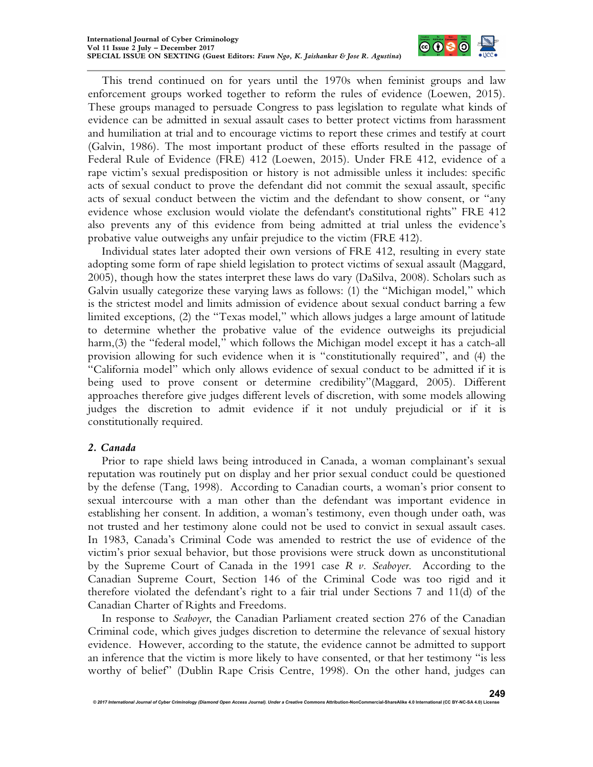

This trend continued on for years until the 1970s when feminist groups and law enforcement groups worked together to reform the rules of evidence (Loewen, 2015). These groups managed to persuade Congress to pass legislation to regulate what kinds of evidence can be admitted in sexual assault cases to better protect victims from harassment and humiliation at trial and to encourage victims to report these crimes and testify at court (Galvin, 1986). The most important product of these efforts resulted in the passage of Federal Rule of Evidence (FRE) 412 (Loewen, 2015). Under FRE 412, evidence of a rape victim's sexual predisposition or history is not admissible unless it includes: specific acts of sexual conduct to prove the defendant did not commit the sexual assault, specific acts of sexual conduct between the victim and the defendant to show consent, or "any evidence whose exclusion would violate the defendant's constitutional rights" FRE 412 also prevents any of this evidence from being admitted at trial unless the evidence's probative value outweighs any unfair prejudice to the victim (FRE 412).

Individual states later adopted their own versions of FRE 412, resulting in every state adopting some form of rape shield legislation to protect victims of sexual assault (Maggard, 2005), though how the states interpret these laws do vary (DaSilva, 2008). Scholars such as Galvin usually categorize these varying laws as follows: (1) the "Michigan model," which is the strictest model and limits admission of evidence about sexual conduct barring a few limited exceptions, (2) the "Texas model," which allows judges a large amount of latitude to determine whether the probative value of the evidence outweighs its prejudicial harm,(3) the "federal model," which follows the Michigan model except it has a catch-all provision allowing for such evidence when it is "constitutionally required", and (4) the "California model" which only allows evidence of sexual conduct to be admitted if it is being used to prove consent or determine credibility"(Maggard, 2005). Different approaches therefore give judges different levels of discretion, with some models allowing judges the discretion to admit evidence if it not unduly prejudicial or if it is constitutionally required.

## *2. Canada*

Prior to rape shield laws being introduced in Canada, a woman complainant's sexual reputation was routinely put on display and her prior sexual conduct could be questioned by the defense (Tang, 1998). According to Canadian courts, a woman's prior consent to sexual intercourse with a man other than the defendant was important evidence in establishing her consent. In addition, a woman's testimony, even though under oath, was not trusted and her testimony alone could not be used to convict in sexual assault cases. In 1983, Canada's Criminal Code was amended to restrict the use of evidence of the victim's prior sexual behavior, but those provisions were struck down as unconstitutional by the Supreme Court of Canada in the 1991 case *R v. Seaboyer*. According to the Canadian Supreme Court, Section 146 of the Criminal Code was too rigid and it therefore violated the defendant's right to a fair trial under Sections 7 and 11(d) of the Canadian Charter of Rights and Freedoms.

In response to *Seaboyer*, the Canadian Parliament created section 276 of the Canadian Criminal code, which gives judges discretion to determine the relevance of sexual history evidence. However, according to the statute, the evidence cannot be admitted to support an inference that the victim is more likely to have consented, or that her testimony "is less worthy of belief" (Dublin Rape Crisis Centre, 1998). On the other hand, judges can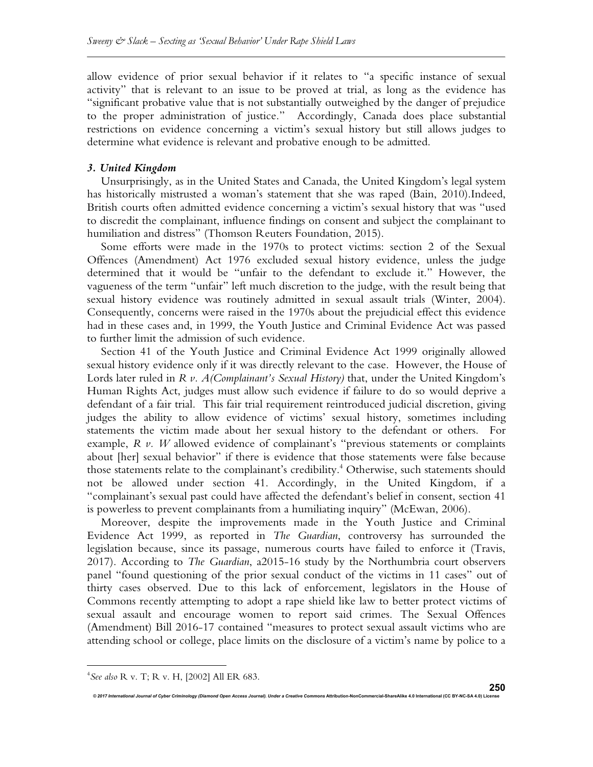allow evidence of prior sexual behavior if it relates to "a specific instance of sexual activity" that is relevant to an issue to be proved at trial, as long as the evidence has "significant probative value that is not substantially outweighed by the danger of prejudice to the proper administration of justice." Accordingly, Canada does place substantial restrictions on evidence concerning a victim's sexual history but still allows judges to determine what evidence is relevant and probative enough to be admitted.

#### *3. United Kingdom*

Unsurprisingly, as in the United States and Canada, the United Kingdom's legal system has historically mistrusted a woman's statement that she was raped (Bain, 2010).Indeed, British courts often admitted evidence concerning a victim's sexual history that was "used to discredit the complainant, influence findings on consent and subject the complainant to humiliation and distress" (Thomson Reuters Foundation, 2015).

Some efforts were made in the 1970s to protect victims: section 2 of the Sexual Offences (Amendment) Act 1976 excluded sexual history evidence, unless the judge determined that it would be "unfair to the defendant to exclude it." However, the vagueness of the term "unfair" left much discretion to the judge, with the result being that sexual history evidence was routinely admitted in sexual assault trials (Winter, 2004). Consequently, concerns were raised in the 1970s about the prejudicial effect this evidence had in these cases and, in 1999, the Youth Justice and Criminal Evidence Act was passed to further limit the admission of such evidence.

Section 41 of the Youth Justice and Criminal Evidence Act 1999 originally allowed sexual history evidence only if it was directly relevant to the case. However, the House of Lords later ruled in *R v. A(Complainant's Sexual History)* that, under the United Kingdom's Human Rights Act, judges must allow such evidence if failure to do so would deprive a defendant of a fair trial. This fair trial requirement reintroduced judicial discretion, giving judges the ability to allow evidence of victims' sexual history, sometimes including statements the victim made about her sexual history to the defendant or others. For example, *R v. W* allowed evidence of complainant's "previous statements or complaints about [her] sexual behavior" if there is evidence that those statements were false because those statements relate to the complainant's credibility.<sup>4</sup> Otherwise, such statements should not be allowed under section 41. Accordingly, in the United Kingdom, if a "complainant's sexual past could have affected the defendant's belief in consent, section 41 is powerless to prevent complainants from a humiliating inquiry" (McEwan, 2006).

Moreover, despite the improvements made in the Youth Justice and Criminal Evidence Act 1999, as reported in *The Guardian*, controversy has surrounded the legislation because, since its passage, numerous courts have failed to enforce it (Travis, 2017). According to *The Guardian*, a2015-16 study by the Northumbria court observers panel "found questioning of the prior sexual conduct of the victims in 11 cases" out of thirty cases observed. Due to this lack of enforcement, legislators in the House of Commons recently attempting to adopt a rape shield like law to better protect victims of sexual assault and encourage women to report said crimes. The Sexual Offences (Amendment) Bill 2016-17 contained "measures to protect sexual assault victims who are attending school or college, place limits on the disclosure of a victim's name by police to a

© 2017 International Journal of Cyber Criminology (Diamond Open Access Journal). Under a Creative Commons Attribution-NonCommercial-ShareAlike 4.0 International (CC BY-NC-SA 4.0) L

 $\overline{a}$ 

<sup>4</sup> *See also* R v. T; R v. H, [2002] All ER 683.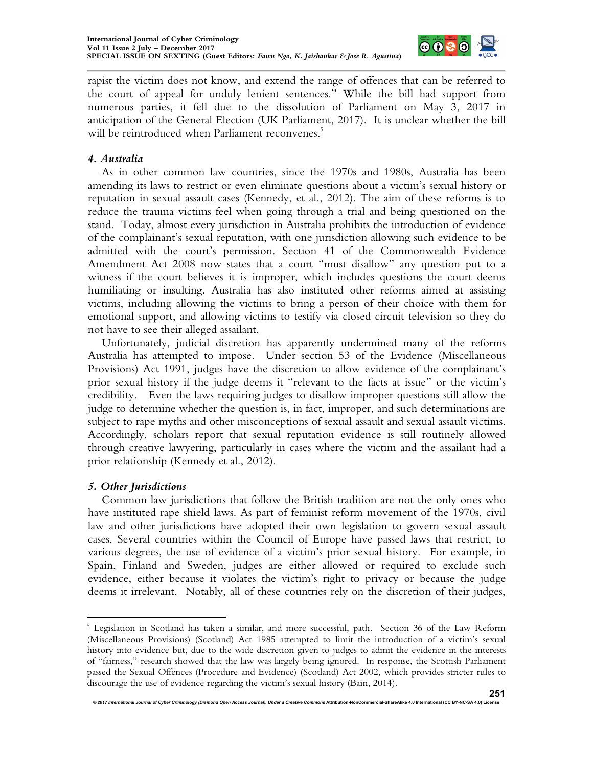

rapist the victim does not know, and extend the range of offences that can be referred to the court of appeal for unduly lenient sentences." While the bill had support from numerous parties, it fell due to the dissolution of Parliament on May 3, 2017 in anticipation of the General Election (UK Parliament, 2017). It is unclear whether the bill will be reintroduced when Parliament reconvenes.<sup>5</sup>

## *4. Australia*

As in other common law countries, since the 1970s and 1980s, Australia has been amending its laws to restrict or even eliminate questions about a victim's sexual history or reputation in sexual assault cases (Kennedy, et al., 2012). The aim of these reforms is to reduce the trauma victims feel when going through a trial and being questioned on the stand. Today, almost every jurisdiction in Australia prohibits the introduction of evidence of the complainant's sexual reputation, with one jurisdiction allowing such evidence to be admitted with the court's permission. Section 41 of the Commonwealth Evidence Amendment Act 2008 now states that a court "must disallow" any question put to a witness if the court believes it is improper, which includes questions the court deems humiliating or insulting. Australia has also instituted other reforms aimed at assisting victims, including allowing the victims to bring a person of their choice with them for emotional support, and allowing victims to testify via closed circuit television so they do not have to see their alleged assailant.

Unfortunately, judicial discretion has apparently undermined many of the reforms Australia has attempted to impose. Under section 53 of the Evidence (Miscellaneous Provisions) Act 1991, judges have the discretion to allow evidence of the complainant's prior sexual history if the judge deems it "relevant to the facts at issue" or the victim's credibility. Even the laws requiring judges to disallow improper questions still allow the judge to determine whether the question is, in fact, improper, and such determinations are subject to rape myths and other misconceptions of sexual assault and sexual assault victims. Accordingly, scholars report that sexual reputation evidence is still routinely allowed through creative lawyering, particularly in cases where the victim and the assailant had a prior relationship (Kennedy et al., 2012).

## *5. Other Jurisdictions*

Common law jurisdictions that follow the British tradition are not the only ones who have instituted rape shield laws. As part of feminist reform movement of the 1970s, civil law and other jurisdictions have adopted their own legislation to govern sexual assault cases. Several countries within the Council of Europe have passed laws that restrict, to various degrees, the use of evidence of a victim's prior sexual history. For example, in Spain, Finland and Sweden, judges are either allowed or required to exclude such evidence, either because it violates the victim's right to privacy or because the judge deems it irrelevant. Notably, all of these countries rely on the discretion of their judges,

 $\overline{a}$ <sup>5</sup> Legislation in Scotland has taken a similar, and more successful, path. Section 36 of the Law Reform (Miscellaneous Provisions) (Scotland) Act 1985 attempted to limit the introduction of a victim's sexual history into evidence but, due to the wide discretion given to judges to admit the evidence in the interests of "fairness," research showed that the law was largely being ignored. In response, the Scottish Parliament passed the Sexual Offences (Procedure and Evidence) (Scotland) Act 2002, which provides stricter rules to discourage the use of evidence regarding the victim's sexual history (Bain, 2014).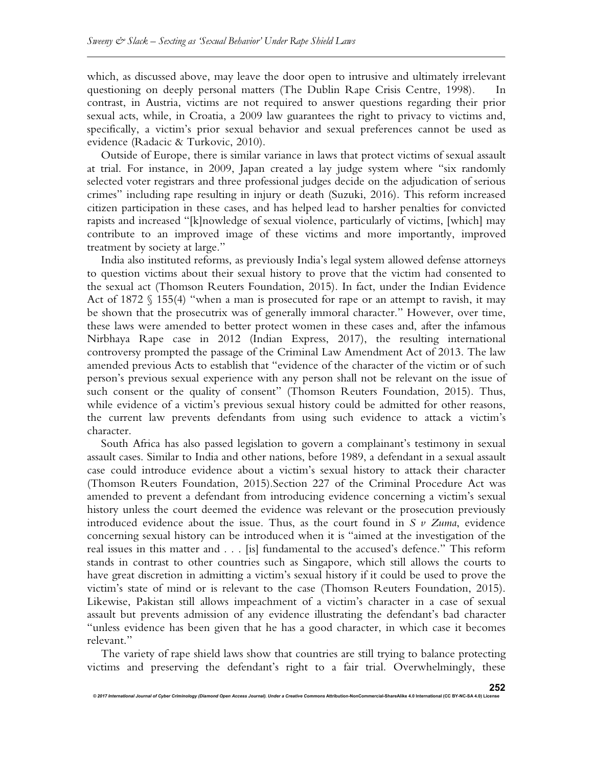which, as discussed above, may leave the door open to intrusive and ultimately irrelevant questioning on deeply personal matters (The Dublin Rape Crisis Centre, 1998). In contrast, in Austria, victims are not required to answer questions regarding their prior sexual acts, while, in Croatia, a 2009 law guarantees the right to privacy to victims and, specifically, a victim's prior sexual behavior and sexual preferences cannot be used as evidence (Radacic & Turkovic, 2010).

Outside of Europe, there is similar variance in laws that protect victims of sexual assault at trial. For instance, in 2009, Japan created a lay judge system where "six randomly selected voter registrars and three professional judges decide on the adjudication of serious crimes" including rape resulting in injury or death (Suzuki, 2016). This reform increased citizen participation in these cases, and has helped lead to harsher penalties for convicted rapists and increased "[k]nowledge of sexual violence, particularly of victims, [which] may contribute to an improved image of these victims and more importantly, improved treatment by society at large."

India also instituted reforms, as previously India's legal system allowed defense attorneys to question victims about their sexual history to prove that the victim had consented to the sexual act (Thomson Reuters Foundation, 2015). In fact, under the Indian Evidence Act of 1872 § 155(4) "when a man is prosecuted for rape or an attempt to ravish, it may be shown that the prosecutrix was of generally immoral character." However, over time, these laws were amended to better protect women in these cases and, after the infamous Nirbhaya Rape case in 2012 (Indian Express, 2017), the resulting international controversy prompted the passage of the Criminal Law Amendment Act of 2013. The law amended previous Acts to establish that "evidence of the character of the victim or of such person's previous sexual experience with any person shall not be relevant on the issue of such consent or the quality of consent" (Thomson Reuters Foundation, 2015). Thus, while evidence of a victim's previous sexual history could be admitted for other reasons, the current law prevents defendants from using such evidence to attack a victim's character.

South Africa has also passed legislation to govern a complainant's testimony in sexual assault cases. Similar to India and other nations, before 1989, a defendant in a sexual assault case could introduce evidence about a victim's sexual history to attack their character (Thomson Reuters Foundation, 2015).Section 227 of the Criminal Procedure Act was amended to prevent a defendant from introducing evidence concerning a victim's sexual history unless the court deemed the evidence was relevant or the prosecution previously introduced evidence about the issue. Thus, as the court found in *S v Zuma*, evidence concerning sexual history can be introduced when it is "aimed at the investigation of the real issues in this matter and . . . [is] fundamental to the accused's defence." This reform stands in contrast to other countries such as Singapore, which still allows the courts to have great discretion in admitting a victim's sexual history if it could be used to prove the victim's state of mind or is relevant to the case (Thomson Reuters Foundation, 2015). Likewise, Pakistan still allows impeachment of a victim's character in a case of sexual assault but prevents admission of any evidence illustrating the defendant's bad character "unless evidence has been given that he has a good character, in which case it becomes relevant."

The variety of rape shield laws show that countries are still trying to balance protecting victims and preserving the defendant's right to a fair trial. Overwhelmingly, these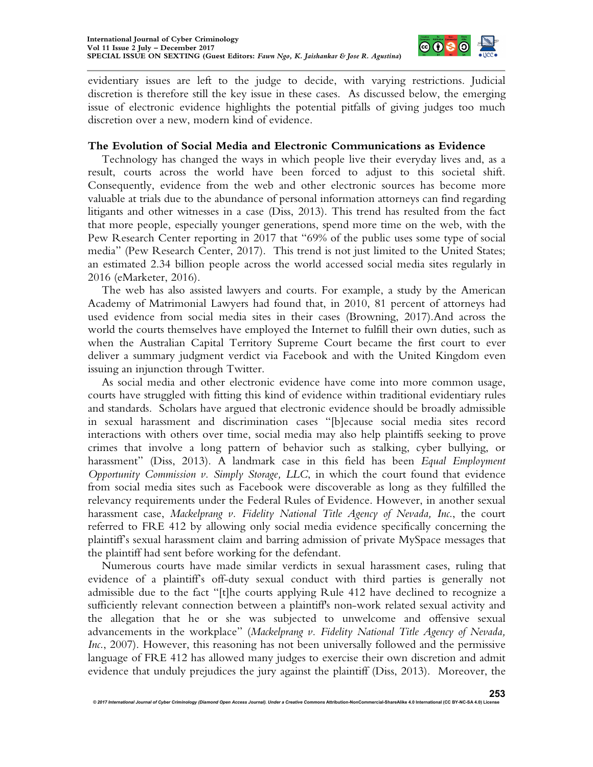

evidentiary issues are left to the judge to decide, with varying restrictions. Judicial discretion is therefore still the key issue in these cases. As discussed below, the emerging issue of electronic evidence highlights the potential pitfalls of giving judges too much discretion over a new, modern kind of evidence.

#### **The Evolution of Social Media and Electronic Communications as Evidence**

Technology has changed the ways in which people live their everyday lives and, as a result, courts across the world have been forced to adjust to this societal shift. Consequently, evidence from the web and other electronic sources has become more valuable at trials due to the abundance of personal information attorneys can find regarding litigants and other witnesses in a case (Diss, 2013). This trend has resulted from the fact that more people, especially younger generations, spend more time on the web, with the Pew Research Center reporting in 2017 that "69% of the public uses some type of social media" (Pew Research Center, 2017). This trend is not just limited to the United States; an estimated 2.34 billion people across the world accessed social media sites regularly in 2016 (eMarketer, 2016).

The web has also assisted lawyers and courts. For example, a study by the American Academy of Matrimonial Lawyers had found that, in 2010, 81 percent of attorneys had used evidence from social media sites in their cases (Browning, 2017).And across the world the courts themselves have employed the Internet to fulfill their own duties, such as when the Australian Capital Territory Supreme Court became the first court to ever deliver a summary judgment verdict via Facebook and with the United Kingdom even issuing an injunction through Twitter.

As social media and other electronic evidence have come into more common usage, courts have struggled with fitting this kind of evidence within traditional evidentiary rules and standards. Scholars have argued that electronic evidence should be broadly admissible in sexual harassment and discrimination cases "[b]ecause social media sites record interactions with others over time, social media may also help plaintiffs seeking to prove crimes that involve a long pattern of behavior such as stalking, cyber bullying, or harassment" (Diss, 2013). A landmark case in this field has been *Equal Employment Opportunity Commission v. Simply Storage, LLC*, in which the court found that evidence from social media sites such as Facebook were discoverable as long as they fulfilled the relevancy requirements under the Federal Rules of Evidence. However, in another sexual harassment case, *Mackelprang v. Fidelity National Title Agency of Nevada, Inc*., the court referred to FRE 412 by allowing only social media evidence specifically concerning the plaintiff's sexual harassment claim and barring admission of private MySpace messages that the plaintiff had sent before working for the defendant.

Numerous courts have made similar verdicts in sexual harassment cases, ruling that evidence of a plaintiff's off-duty sexual conduct with third parties is generally not admissible due to the fact "[t]he courts applying Rule 412 have declined to recognize a sufficiently relevant connection between a plaintiff's non-work related sexual activity and the allegation that he or she was subjected to unwelcome and offensive sexual advancements in the workplace" (*Mackelprang v. Fidelity National Title Agency of Nevada, Inc.*, 2007). However, this reasoning has not been universally followed and the permissive language of FRE 412 has allowed many judges to exercise their own discretion and admit evidence that unduly prejudices the jury against the plaintiff (Diss, 2013). Moreover, the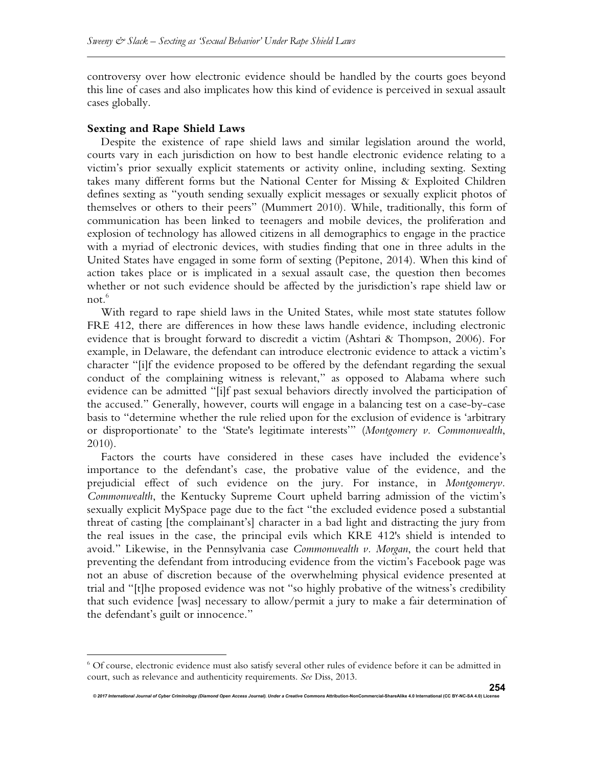controversy over how electronic evidence should be handled by the courts goes beyond this line of cases and also implicates how this kind of evidence is perceived in sexual assault cases globally.

#### **Sexting and Rape Shield Laws**

1

Despite the existence of rape shield laws and similar legislation around the world, courts vary in each jurisdiction on how to best handle electronic evidence relating to a victim's prior sexually explicit statements or activity online, including sexting. Sexting takes many different forms but the National Center for Missing & Exploited Children defines sexting as "youth sending sexually explicit messages or sexually explicit photos of themselves or others to their peers" (Mummert 2010). While, traditionally, this form of communication has been linked to teenagers and mobile devices, the proliferation and explosion of technology has allowed citizens in all demographics to engage in the practice with a myriad of electronic devices, with studies finding that one in three adults in the United States have engaged in some form of sexting (Pepitone, 2014). When this kind of action takes place or is implicated in a sexual assault case, the question then becomes whether or not such evidence should be affected by the jurisdiction's rape shield law or not. $6$ 

With regard to rape shield laws in the United States, while most state statutes follow FRE 412, there are differences in how these laws handle evidence, including electronic evidence that is brought forward to discredit a victim (Ashtari & Thompson, 2006). For example, in Delaware, the defendant can introduce electronic evidence to attack a victim's character "[i]f the evidence proposed to be offered by the defendant regarding the sexual conduct of the complaining witness is relevant," as opposed to Alabama where such evidence can be admitted "[i]f past sexual behaviors directly involved the participation of the accused." Generally, however, courts will engage in a balancing test on a case-by-case basis to "determine whether the rule relied upon for the exclusion of evidence is 'arbitrary or disproportionate' to the 'State's legitimate interests'" (*Montgomery v. Commonwealth*, 2010).

Factors the courts have considered in these cases have included the evidence's importance to the defendant's case, the probative value of the evidence, and the prejudicial effect of such evidence on the jury. For instance, in *Montgomeryv. Commonwealth*, the Kentucky Supreme Court upheld barring admission of the victim's sexually explicit MySpace page due to the fact "the excluded evidence posed a substantial threat of casting [the complainant's] character in a bad light and distracting the jury from the real issues in the case, the principal evils which KRE 412's shield is intended to avoid." Likewise, in the Pennsylvania case *Commonwealth v. Morgan*, the court held that preventing the defendant from introducing evidence from the victim's Facebook page was not an abuse of discretion because of the overwhelming physical evidence presented at trial and "[t]he proposed evidence was not "so highly probative of the witness's credibility that such evidence [was] necessary to allow/permit a jury to make a fair determination of the defendant's guilt or innocence."

<sup>6</sup> Of course, electronic evidence must also satisfy several other rules of evidence before it can be admitted in court, such as relevance and authenticity requirements. *See* Diss, 2013.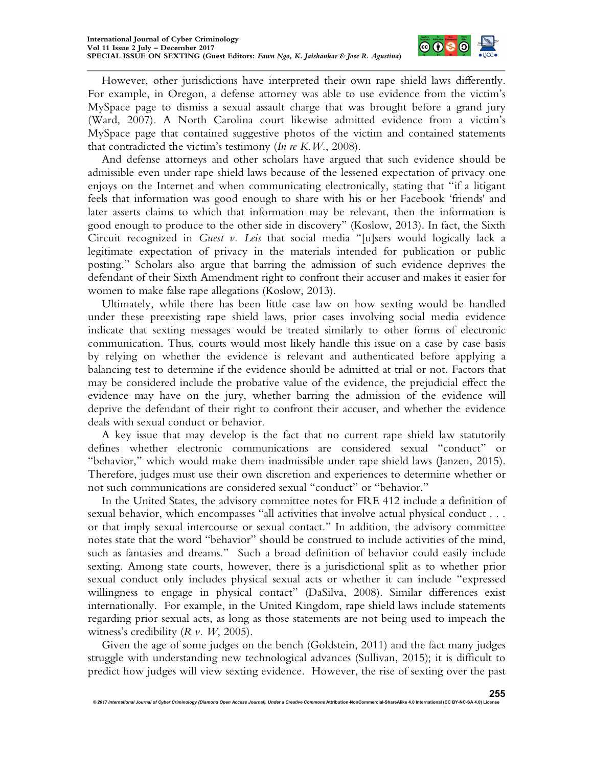

However, other jurisdictions have interpreted their own rape shield laws differently. For example, in Oregon, a defense attorney was able to use evidence from the victim's MySpace page to dismiss a sexual assault charge that was brought before a grand jury (Ward, 2007). A North Carolina court likewise admitted evidence from a victim's MySpace page that contained suggestive photos of the victim and contained statements that contradicted the victim's testimony (*In re K.W*., 2008).

And defense attorneys and other scholars have argued that such evidence should be admissible even under rape shield laws because of the lessened expectation of privacy one enjoys on the Internet and when communicating electronically, stating that "if a litigant feels that information was good enough to share with his or her Facebook 'friends' and later asserts claims to which that information may be relevant, then the information is good enough to produce to the other side in discovery" (Koslow, 2013). In fact, the Sixth Circuit recognized in *Guest v. Leis* that social media "[u]sers would logically lack a legitimate expectation of privacy in the materials intended for publication or public posting." Scholars also argue that barring the admission of such evidence deprives the defendant of their Sixth Amendment right to confront their accuser and makes it easier for women to make false rape allegations (Koslow, 2013).

Ultimately, while there has been little case law on how sexting would be handled under these preexisting rape shield laws, prior cases involving social media evidence indicate that sexting messages would be treated similarly to other forms of electronic communication. Thus, courts would most likely handle this issue on a case by case basis by relying on whether the evidence is relevant and authenticated before applying a balancing test to determine if the evidence should be admitted at trial or not. Factors that may be considered include the probative value of the evidence, the prejudicial effect the evidence may have on the jury, whether barring the admission of the evidence will deprive the defendant of their right to confront their accuser, and whether the evidence deals with sexual conduct or behavior.

A key issue that may develop is the fact that no current rape shield law statutorily defines whether electronic communications are considered sexual "conduct" or "behavior," which would make them inadmissible under rape shield laws (Janzen, 2015). Therefore, judges must use their own discretion and experiences to determine whether or not such communications are considered sexual "conduct" or "behavior."

In the United States, the advisory committee notes for FRE 412 include a definition of sexual behavior, which encompasses "all activities that involve actual physical conduct . . . or that imply sexual intercourse or sexual contact." In addition, the advisory committee notes state that the word "behavior" should be construed to include activities of the mind, such as fantasies and dreams." Such a broad definition of behavior could easily include sexting. Among state courts, however, there is a jurisdictional split as to whether prior sexual conduct only includes physical sexual acts or whether it can include "expressed willingness to engage in physical contact" (DaSilva, 2008). Similar differences exist internationally. For example, in the United Kingdom, rape shield laws include statements regarding prior sexual acts, as long as those statements are not being used to impeach the witness's credibility (*R v. W*, 2005).

Given the age of some judges on the bench (Goldstein, 2011) and the fact many judges struggle with understanding new technological advances (Sullivan, 2015); it is difficult to predict how judges will view sexting evidence. However, the rise of sexting over the past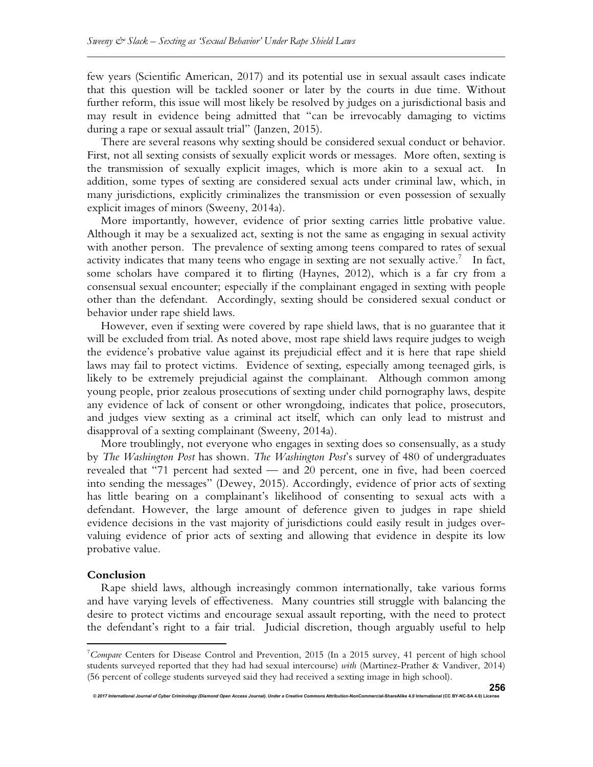few years (Scientific American, 2017) and its potential use in sexual assault cases indicate that this question will be tackled sooner or later by the courts in due time. Without further reform, this issue will most likely be resolved by judges on a jurisdictional basis and may result in evidence being admitted that "can be irrevocably damaging to victims during a rape or sexual assault trial" (Janzen, 2015).

There are several reasons why sexting should be considered sexual conduct or behavior. First, not all sexting consists of sexually explicit words or messages. More often, sexting is the transmission of sexually explicit images, which is more akin to a sexual act. In addition, some types of sexting are considered sexual acts under criminal law, which, in many jurisdictions, explicitly criminalizes the transmission or even possession of sexually explicit images of minors (Sweeny, 2014a).

More importantly, however, evidence of prior sexting carries little probative value. Although it may be a sexualized act, sexting is not the same as engaging in sexual activity with another person. The prevalence of sexting among teens compared to rates of sexual activity indicates that many teens who engage in sexting are not sexually active.<sup>7</sup> In fact, some scholars have compared it to flirting (Haynes, 2012), which is a far cry from a consensual sexual encounter; especially if the complainant engaged in sexting with people other than the defendant. Accordingly, sexting should be considered sexual conduct or behavior under rape shield laws.

However, even if sexting were covered by rape shield laws, that is no guarantee that it will be excluded from trial. As noted above, most rape shield laws require judges to weigh the evidence's probative value against its prejudicial effect and it is here that rape shield laws may fail to protect victims. Evidence of sexting, especially among teenaged girls, is likely to be extremely prejudicial against the complainant. Although common among young people, prior zealous prosecutions of sexting under child pornography laws, despite any evidence of lack of consent or other wrongdoing, indicates that police, prosecutors, and judges view sexting as a criminal act itself, which can only lead to mistrust and disapproval of a sexting complainant (Sweeny, 2014a).

More troublingly, not everyone who engages in sexting does so consensually, as a study by *The Washington Post* has shown. *The Washington Post*'s survey of 480 of undergraduates revealed that "71 percent had sexted — and 20 percent, one in five, had been coerced into sending the messages" (Dewey, 2015). Accordingly, evidence of prior acts of sexting has little bearing on a complainant's likelihood of consenting to sexual acts with a defendant. However, the large amount of deference given to judges in rape shield evidence decisions in the vast majority of jurisdictions could easily result in judges overvaluing evidence of prior acts of sexting and allowing that evidence in despite its low probative value.

#### **Conclusion**

 $\overline{a}$ 

Rape shield laws, although increasingly common internationally, take various forms and have varying levels of effectiveness. Many countries still struggle with balancing the desire to protect victims and encourage sexual assault reporting, with the need to protect the defendant's right to a fair trial. Judicial discretion, though arguably useful to help

<sup>7</sup>*Compare* Centers for Disease Control and Prevention, 2015 (In a 2015 survey, 41 percent of high school students surveyed reported that they had had sexual intercourse) *with* (Martinez-Prather & Vandiver, 2014) (56 percent of college students surveyed said they had received a sexting image in high school).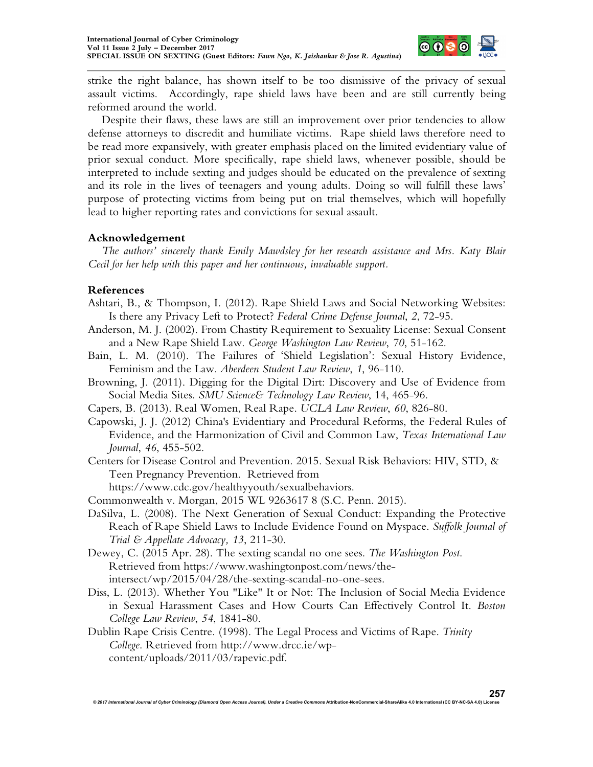

strike the right balance, has shown itself to be too dismissive of the privacy of sexual assault victims. Accordingly, rape shield laws have been and are still currently being reformed around the world.

Despite their flaws, these laws are still an improvement over prior tendencies to allow defense attorneys to discredit and humiliate victims. Rape shield laws therefore need to be read more expansively, with greater emphasis placed on the limited evidentiary value of prior sexual conduct. More specifically, rape shield laws, whenever possible, should be interpreted to include sexting and judges should be educated on the prevalence of sexting and its role in the lives of teenagers and young adults. Doing so will fulfill these laws' purpose of protecting victims from being put on trial themselves, which will hopefully lead to higher reporting rates and convictions for sexual assault.

## **Acknowledgement**

*The authors' sincerely thank Emily Mawdsley for her research assistance and Mrs. Katy Blair Cecil for her help with this paper and her continuous, invaluable support.*

## **References**

- Ashtari, B., & Thompson, I. (2012). Rape Shield Laws and Social Networking Websites: Is there any Privacy Left to Protect? *Federal Crime Defense Journal*, *2*, 72-95.
- Anderson, M. J. (2002). From Chastity Requirement to Sexuality License: Sexual Consent and a New Rape Shield Law. *George Washington Law Review*, *70*, 51-162.
- Bain, L. M. (2010). The Failures of 'Shield Legislation': Sexual History Evidence, Feminism and the Law. *Aberdeen Student Law Review*, *1*, 96-110.
- Browning, J. (2011). Digging for the Digital Dirt: Discovery and Use of Evidence from Social Media Sites. *SMU Science& Technology Law Review*, 14, 465-96.
- Capers, B. (2013). Real Women, Real Rape. *UCLA Law Review*, *60*, 826-80.
- Capowski, J. J. (2012) China's Evidentiary and Procedural Reforms, the Federal Rules of Evidence, and the Harmonization of Civil and Common Law, *Texas International Law Journal*, *46*, 455-502.
- Centers for Disease Control and Prevention. 2015. Sexual Risk Behaviors: HIV, STD, & Teen Pregnancy Prevention. Retrieved from

https://www.cdc.gov/healthyyouth/sexualbehaviors.

- Commonwealth v. Morgan, 2015 WL 9263617 8 (S.C. Penn. 2015).
- DaSilva, L. (2008). The Next Generation of Sexual Conduct: Expanding the Protective Reach of Rape Shield Laws to Include Evidence Found on Myspace. *Suffolk Journal of Trial & Appellate Advocacy, 13*, 211-30.
- Dewey, C. (2015 Apr. 28). The sexting scandal no one sees. *The Washington Post*. Retrieved from https://www.washingtonpost.com/news/theintersect/wp/2015/04/28/the-sexting-scandal-no-one-sees.
- Diss, L. (2013). Whether You "Like" It or Not: The Inclusion of Social Media Evidence in Sexual Harassment Cases and How Courts Can Effectively Control It. *Boston College Law Review*, *54*, 1841-80.
- Dublin Rape Crisis Centre. (1998). The Legal Process and Victims of Rape. *Trinity College*. Retrieved from http://www.drcc.ie/wpcontent/uploads/2011/03/rapevic.pdf.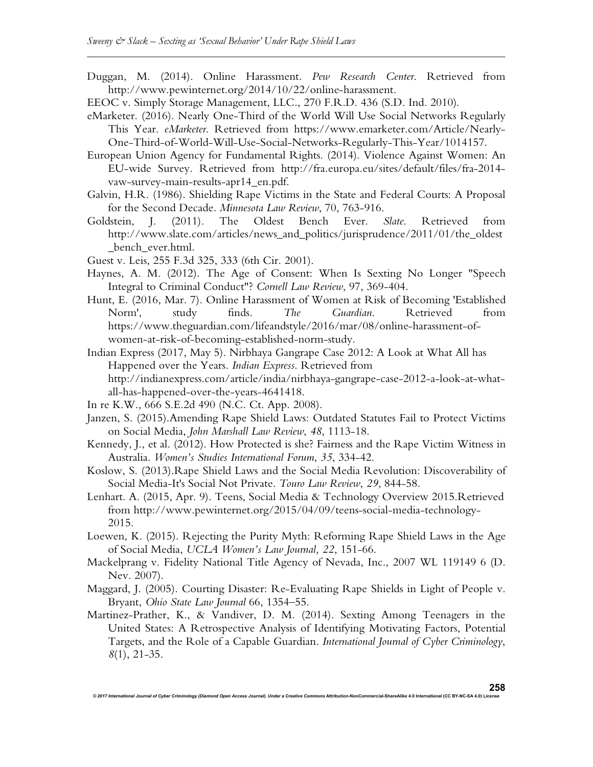- Duggan, M. (2014). Online Harassment. *Pew Research Center*. Retrieved from http://www.pewinternet.org/2014/10/22/online-harassment.
- EEOC v. Simply Storage Management, LLC., 270 F.R.D. 436 (S.D. Ind. 2010).
- eMarketer. (2016). Nearly One-Third of the World Will Use Social Networks Regularly This Year. *eMarketer*. Retrieved from https://www.emarketer.com/Article/Nearly-One-Third-of-World-Will-Use-Social-Networks-Regularly-This-Year/1014157.
- European Union Agency for Fundamental Rights. (2014). Violence Against Women: An EU-wide Survey. Retrieved from http://fra.europa.eu/sites/default/files/fra-2014 vaw-survey-main-results-apr14\_en.pdf.
- Galvin, H.R. (1986). Shielding Rape Victims in the State and Federal Courts: A Proposal for the Second Decade. *Minnesota Law Review*, 70, 763-916.
- Goldstein, J. (2011). The Oldest Bench Ever. *Slate*. Retrieved from http://www.slate.com/articles/news\_and\_politics/jurisprudence/2011/01/the\_oldest \_bench\_ever.html.
- Guest v. Leis, 255 F.3d 325, 333 (6th Cir. 2001).
- Haynes, A. M. (2012). The Age of Consent: When Is Sexting No Longer "Speech Integral to Criminal Conduct"? *Cornell Law Review*, 97, 369-404.
- Hunt, E. (2016, Mar. 7). Online Harassment of Women at Risk of Becoming 'Established Norm', study finds. *The Guardian*. Retrieved from https://www.theguardian.com/lifeandstyle/2016/mar/08/online-harassment-ofwomen-at-risk-of-becoming-established-norm-study.
- Indian Express (2017, May 5). Nirbhaya Gangrape Case 2012: A Look at What All has Happened over the Years. *Indian Express*. Retrieved from http://indianexpress.com/article/india/nirbhaya-gangrape-case-2012-a-look-at-whatall-has-happened-over-the-years-4641418.
- In re K.W., 666 S.E.2d 490 (N.C. Ct. App. 2008).
- Janzen, S. (2015).Amending Rape Shield Laws: Outdated Statutes Fail to Protect Victims on Social Media, *John Marshall Law Review*, *48*, 1113-18.
- Kennedy, J., et al. (2012). How Protected is she? Fairness and the Rape Victim Witness in Australia. *Women's Studies International Forum*, *35*, 334-42.
- Koslow, S. (2013).Rape Shield Laws and the Social Media Revolution: Discoverability of Social Media-It's Social Not Private. *Touro Law Review*, *29*, 844-58.
- Lenhart. A. (2015, Apr. 9). Teens, Social Media & Technology Overview 2015.Retrieved from http://www.pewinternet.org/2015/04/09/teens-social-media-technology-2015.
- Loewen, K. (2015). Rejecting the Purity Myth: Reforming Rape Shield Laws in the Age of Social Media, *UCLA Women's Law Journal, 22*, 151-66.
- Mackelprang v. Fidelity National Title Agency of Nevada, Inc., 2007 WL 119149 6 (D. Nev. 2007).
- Maggard, J. (2005). Courting Disaster: Re-Evaluating Rape Shields in Light of People v. Bryant, *Ohio State Law Journal* 66, 1354–55.
- Martinez-Prather, K., & Vandiver, D. M. (2014). Sexting Among Teenagers in the United States: A Retrospective Analysis of Identifying Motivating Factors, Potential Targets, and the Role of a Capable Guardian. *International Journal of Cyber Criminology*, *8*(1), 21-35.

*© 2017 International Journal of Cyber Criminology (Diamond Open Access Journal). Under a Creative Commons* **Attribution-NonCommercial-ShareAlike 4.0 International (CC BY-NC-SA 4.0) License**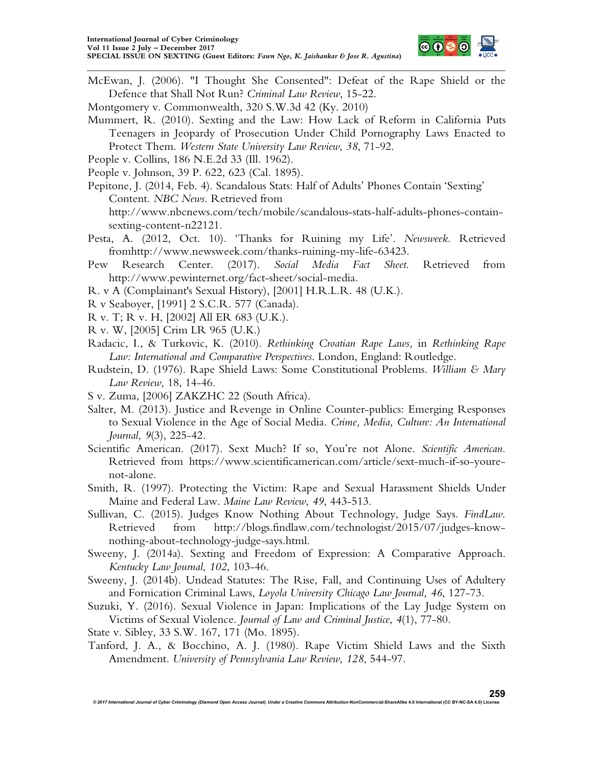

- McEwan, J. (2006). "I Thought She Consented": Defeat of the Rape Shield or the Defence that Shall Not Run? *Criminal Law Review*, 15-22.
- Montgomery v. Commonwealth, 320 S.W.3d 42 (Ky. 2010)
- Mummert, R. (2010). Sexting and the Law: How Lack of Reform in California Puts Teenagers in Jeopardy of Prosecution Under Child Pornography Laws Enacted to Protect Them. *Western State University Law Review*, *38*, 71-92.
- People v. Collins, 186 N.E.2d 33 (Ill. 1962).
- People v. Johnson, 39 P. 622, 623 (Cal. 1895).
- Pepitone, J. (2014, Feb. 4). Scandalous Stats: Half of Adults' Phones Contain 'Sexting' Content. *NBC News*. Retrieved from http://www.nbcnews.com/tech/mobile/scandalous-stats-half-adults-phones-containsexting-content-n22121.
- Pesta, A. (2012, Oct. 10). 'Thanks for Ruining my Life'. *Newsweek*. Retrieved fromhttp://www.newsweek.com/thanks-ruining-my-life-63423.
- Pew Research Center. (2017). *Social Media Fact Sheet*. Retrieved from http://www.pewinternet.org/fact-sheet/social-media.
- R. v A (Complainant's Sexual History), [2001] H.R.L.R. 48 (U.K.).
- R v Seaboyer, [1991] 2 S.C.R. 577 (Canada).
- R v. T; R v. H, [2002] All ER 683 (U.K.).
- R v. W, [2005] Crim LR 965 (U.K.)
- Radacic, I., & Turkovic, K. (2010). *Rethinking Croatian Rape Laws,* in *Rethinking Rape Law: International and Comparative Perspectives*. London, England: Routledge.
- Rudstein, D. (1976). Rape Shield Laws: Some Constitutional Problems. *William & Mary Law Review,* 18, 14-46.
- S v. Zuma, [2006] ZAKZHC 22 (South Africa).
- Salter, M. (2013). Justice and Revenge in Online Counter-publics: Emerging Responses to Sexual Violence in the Age of Social Media. *Crime, Media, Culture: An International Journal, 9*(3), 225-42.
- Scientific American. (2017). Sext Much? If so, You're not Alone. *Scientific American*. Retrieved from https://www.scientificamerican.com/article/sext-much-if-so-yourenot-alone.
- Smith, R. (1997). Protecting the Victim: Rape and Sexual Harassment Shields Under Maine and Federal Law. *Maine Law Review*, *49*, 443-513.
- Sullivan, C. (2015). Judges Know Nothing About Technology, Judge Says. *FindLaw*. Retrieved from http://blogs.findlaw.com/technologist/2015/07/judges-knownothing-about-technology-judge-says.html.
- Sweeny, J. (2014a). Sexting and Freedom of Expression: A Comparative Approach. *Kentucky Law Journal*, *102*, 103-46.
- Sweeny, J. (2014b). Undead Statutes: The Rise, Fall, and Continuing Uses of Adultery and Fornication Criminal Laws, *Loyola University Chicago Law Journal, 46*, 127-73.
- Suzuki, Y. (2016). Sexual Violence in Japan: Implications of the Lay Judge System on Victims of Sexual Violence. *Journal of Law and Criminal Justice*, *4*(1), 77-80.

State v. Sibley, 33 S.W. 167, 171 (Mo. 1895).

Tanford, J. A., & Bocchino, A. J. (1980). Rape Victim Shield Laws and the Sixth Amendment. *University of Pennsylvania Law Review*, *128*, 544-97.

*© 2017 International Journal of Cyber Criminology (Diamond Open Access Journal). Under a Creative Commons* **Attribution-NonCommercial-ShareAlike 4.0 International (CC BY-NC-SA 4.0) License 259**